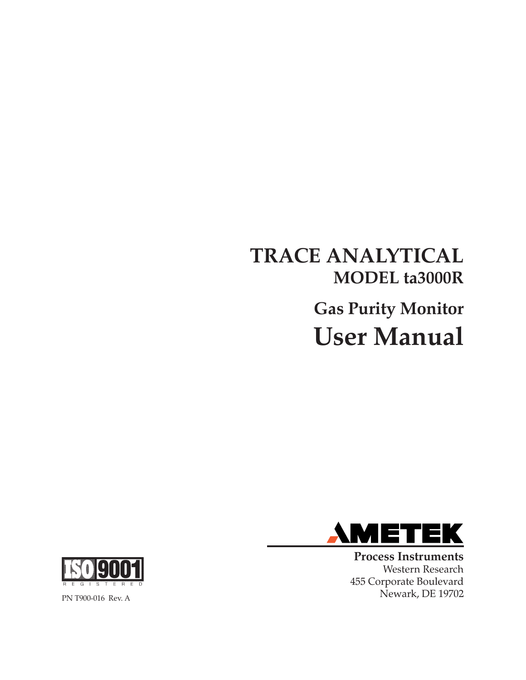# **TRACE ANALYTICAL MODEL ta3000R Gas Purity Monitor User Manual**



**Process Instruments** Western Research 455 Corporate Boulevard Newark, DE 19702



PN T900-016 Rev. A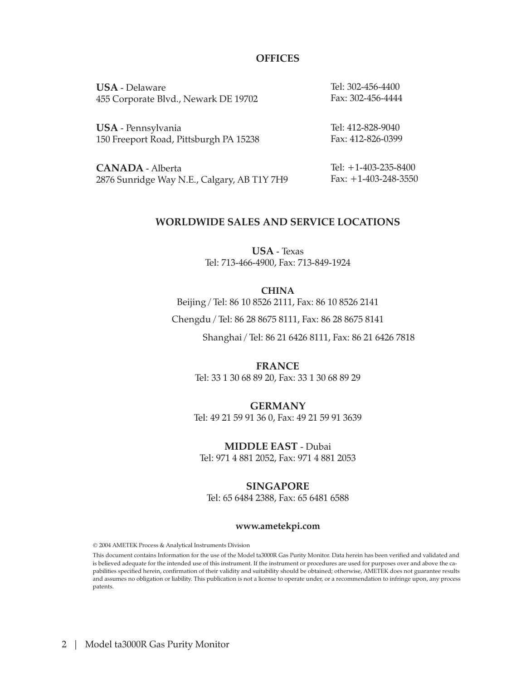#### **OFFICES**

**USA** - Delaware 455 Corporate Blvd., Newark DE 19702 Tel: 302-456-4400 Fax: 302-456-4444

**USA** - Pennsylvania 150 Freeport Road, Pittsburgh PA 15238 Tel: 412-828-9040 Fax: 412-826-0399

**CANADA** - Alberta 2876 Sunridge Way N.E., Calgary, AB T1Y 7H9 Tel: +1-403-235-8400 Fax: +1-403-248-3550

#### **WORLDWIDE SALES AND SERVICE LOCATIONS**

**USA** - Texas Tel: 713-466-4900, Fax: 713-849-1924

**CHINA** Beijing / Tel: 86 10 8526 2111, Fax: 86 10 8526 2141

Chengdu / Tel: 86 28 8675 8111, Fax: 86 28 8675 8141

Shanghai / Tel: 86 21 6426 8111, Fax: 86 21 6426 7818

**FRANCE** Tel: 33 1 30 68 89 20, Fax: 33 1 30 68 89 29

**GERMANY** Tel: 49 21 59 91 36 0, Fax: 49 21 59 91 3639

**MIDDLE EAST** - Dubai Tel: 971 4 881 2052, Fax: 971 4 881 2053

#### **SINGAPORE**

Tel: 65 6484 2388, Fax: 65 6481 6588

#### **www.ametekpi.com**

© 2004 AMETEK Process & Analytical Instruments Division

This document contains Information for the use of the Model ta3000R Gas Purity Monitor. Data herein has been verified and validated and is believed adequate for the intended use of this instrument. If the instrument or procedures are used for purposes over and above the capabilities specified herein, confirmation of their validity and suitability should be obtained; otherwise, AMETEK does not guarantee results and assumes no obligation or liability. This publication is not a license to operate under, or a recommendation to infringe upon, any process patents.

2 | Model ta3000R Gas Purity Monitor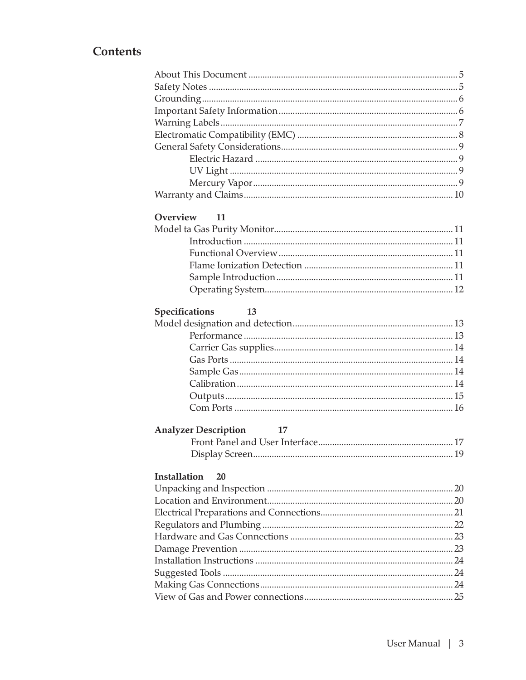### **Contents**

| <b>Overview</b><br>11             |  |
|-----------------------------------|--|
|                                   |  |
|                                   |  |
|                                   |  |
|                                   |  |
|                                   |  |
|                                   |  |
| <b>Specifications</b><br>13       |  |
|                                   |  |
|                                   |  |
|                                   |  |
|                                   |  |
|                                   |  |
|                                   |  |
|                                   |  |
|                                   |  |
| <b>Analyzer Description</b><br>17 |  |
|                                   |  |
|                                   |  |
| Installation<br>20                |  |
|                                   |  |
|                                   |  |
|                                   |  |
|                                   |  |
|                                   |  |
|                                   |  |
|                                   |  |
|                                   |  |
|                                   |  |
|                                   |  |
|                                   |  |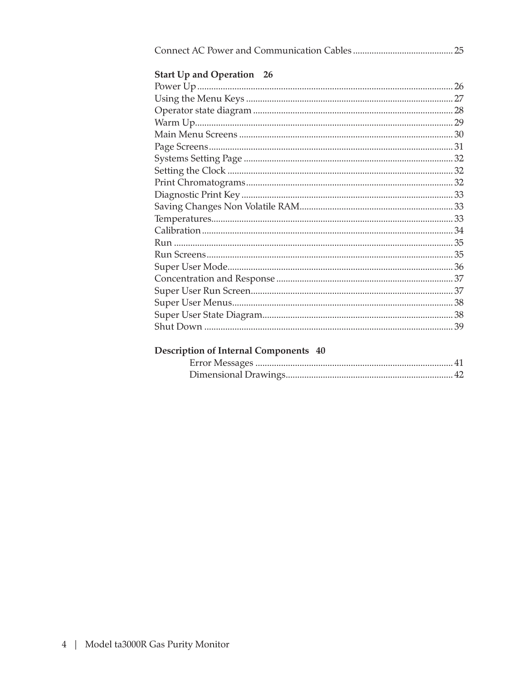| <b>Start Up and Operation</b> 26 |  |
|----------------------------------|--|
|                                  |  |
|                                  |  |
|                                  |  |
|                                  |  |
|                                  |  |
|                                  |  |
|                                  |  |
|                                  |  |
|                                  |  |
|                                  |  |
|                                  |  |
|                                  |  |
|                                  |  |
|                                  |  |
|                                  |  |
|                                  |  |
|                                  |  |
|                                  |  |
|                                  |  |
|                                  |  |
|                                  |  |

### Description of Internal Components 40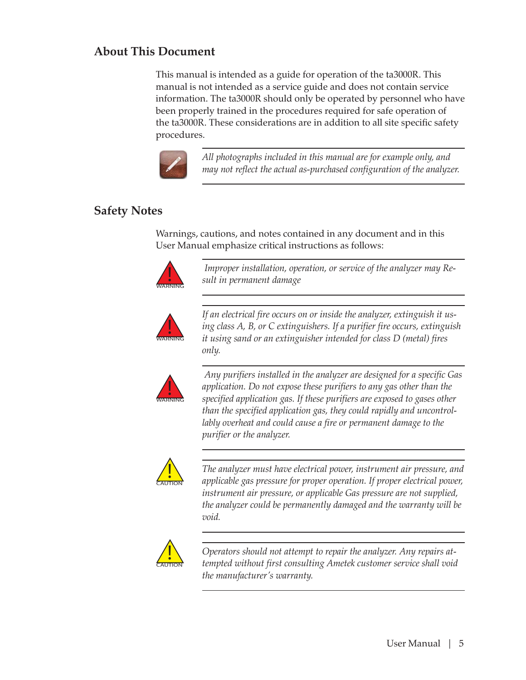### **About This Document**

This manual is intended as a guide for operation of the ta3000R. This manual is not intended as a service guide and does not contain service information. The ta3000R should only be operated by personnel who have been properly trained in the procedures required for safe operation of the ta3000R. These considerations are in addition to all site specific safety procedures.



*All photographs included in this manual are for example only, and may not reflect the actual as-purchased configuration of the analyzer.*

### **Safety Notes**

Warnings, cautions, and notes contained in any document and in this User Manual emphasize critical instructions as follows:



 *Improper installation, operation, or service of the analyzer may Result in permanent damage*



*If an electrical fire occurs on or inside the analyzer, extinguish it using class A, B, or C extinguishers. If a purifier fire occurs, extinguish it using sand or an extinguisher intended for class D (metal) fires only.*



 *Any purifiers installed in the analyzer are designed for a specific Gas application. Do not expose these purifiers to any gas other than the specified application gas. If these purifiers are exposed to gases other than the specified application gas, they could rapidly and uncontrollably overheat and could cause a fire or permanent damage to the purifier or the analyzer.*



*The analyzer must have electrical power, instrument air pressure, and applicable gas pressure for proper operation. If proper electrical power, instrument air pressure, or applicable Gas pressure are not supplied, the analyzer could be permanently damaged and the warranty will be void.*



*Operators should not attempt to repair the analyzer. Any repairs attempted without first consulting Ametek customer service shall void the manufacturer's warranty.*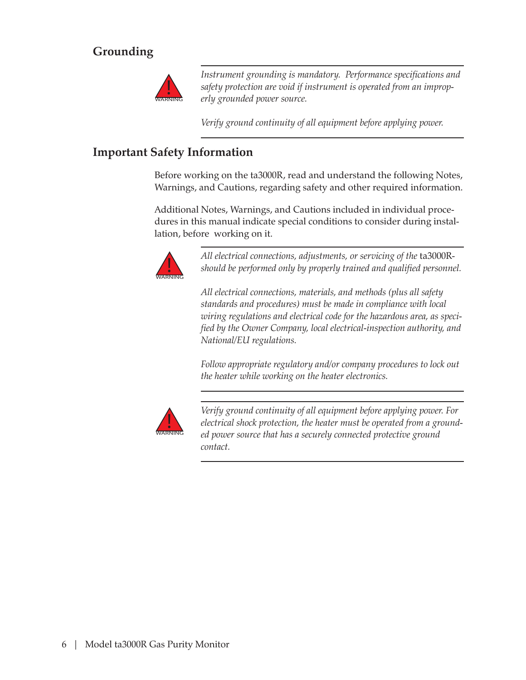### **Grounding**



*Instrument grounding is mandatory. Performance specifications and safety protection are void if instrument is operated from an improperly grounded power source.*

*Verify ground continuity of all equipment before applying power.*

### **Important Safety Information**

Before working on the ta3000R, read and understand the following Notes, Warnings, and Cautions, regarding safety and other required information.

Additional Notes, Warnings, and Cautions included in individual procedures in this manual indicate special conditions to consider during installation, before working on it.



*All electrical connections, adjustments, or servicing of the* ta3000R*should be performed only by properly trained and qualified personnel.*

*All electrical connections, materials, and methods (plus all safety standards and procedures) must be made in compliance with local wiring regulations and electrical code for the hazardous area, as specified by the Owner Company, local electrical-inspection authority, and National/EU regulations.*

*Follow appropriate regulatory and/or company procedures to lock out the heater while working on the heater electronics.*



*Verify ground continuity of all equipment before applying power. For electrical shock protection, the heater must be operated from a grounded power source that has a securely connected protective ground contact.*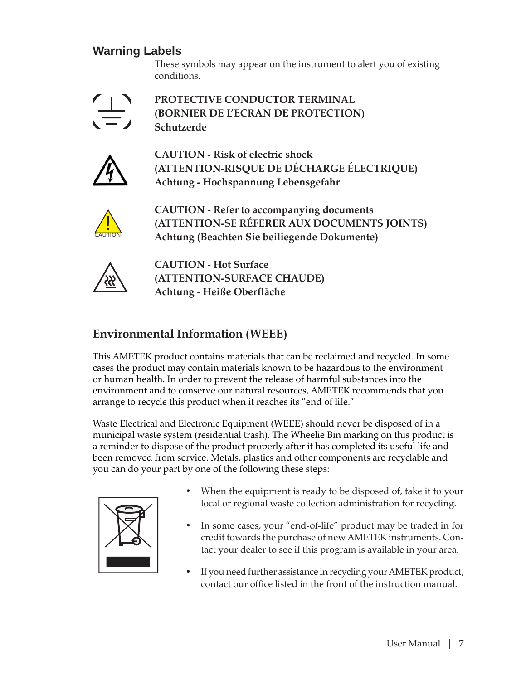### **Warning Labels**

These symbols may appear on the instrument to alert you of existing conditions.



**PROTECTIVE CONDUCTOR TERMINAL (BORNIER DE L'ECRAN DE PROTECTION) Schutzerde**



**CAUTION - Risk of electric shock (ATTENTION-RISQUE DE DÉCHARGE ÉLECTRIQUE) Achtung - Hochspannung Lebensgefahr**



**CAUTION - Refer to accompanying documents (ATTENTION-SE RÉFERER AUX DOCUMENTS JOINTS) Achtung (Beachten Sie beiliegende Dokumente)**



**CAUTION - Hot Surface (ATTENTION-SURFACE CHAUDE) Achtung - Heiße Oberfläche**

### **Environmental Information (WEEE)**

This AMETEK product contains materials that can be reclaimed and recycled. In some cases the product may contain materials known to be hazardous to the environment or human health. In order to prevent the release of harmful substances into the environment and to conserve our natural resources, AMETEK recommends that you arrange to recycle this product when it reaches its "end of life."

Waste Electrical and Electronic Equipment (WEEE) should never be disposed of in a municipal waste system (residential trash). The Wheelie Bin marking on this product is a reminder to dispose of the product properly after it has completed its useful life and been removed from service. Metals, plastics and other components are recyclable and you can do your part by one of the following these steps:



- When the equipment is ready to be disposed of, take it to your local or regional waste collection administration for recycling.
- In some cases, your "end-of-life" product may be traded in for credit towards the purchase of new AMETEK instruments. Contact your dealer to see if this program is available in your area.
- If you need further assistance in recycling your AMETEK product, contact our office listed in the front of the instruction manual.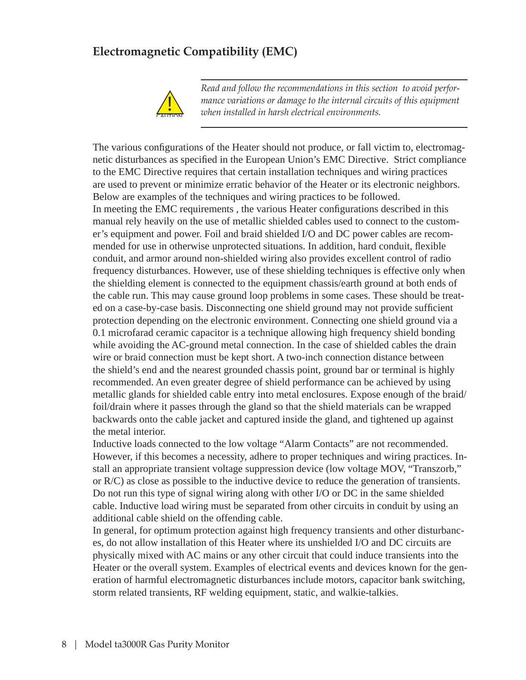### **Electromagnetic Compatibility (EMC)**



*Read and follow the recommendations in this section to avoid performance variations or damage to the internal circuits of this equipment when installed in harsh electrical environments.*

The various configurations of the Heater should not produce, or fall victim to, electromagnetic disturbances as specified in the European Union's EMC Directive. Strict compliance to the EMC Directive requires that certain installation techniques and wiring practices are used to prevent or minimize erratic behavior of the Heater or its electronic neighbors. Below are examples of the techniques and wiring practices to be followed. In meeting the EMC requirements, the various Heater configurations described in this manual rely heavily on the use of metallic shielded cables used to connect to the customer's equipment and power. Foil and braid shielded I/O and DC power cables are recommended for use in otherwise unprotected situations. In addition, hard conduit, flexible conduit, and armor around non-shielded wiring also provides excellent control of radio frequency disturbances. However, use of these shielding techniques is effective only when the shielding element is connected to the equipment chassis/earth ground at both ends of the cable run. This may cause ground loop problems in some cases. These should be treated on a case-by-case basis. Disconnecting one shield ground may not provide sufficient protection depending on the electronic environment. Connecting one shield ground via a 0.1 microfarad ceramic capacitor is a technique allowing high frequency shield bonding while avoiding the AC-ground metal connection. In the case of shielded cables the drain wire or braid connection must be kept short. A two-inch connection distance between the shield's end and the nearest grounded chassis point, ground bar or terminal is highly recommended. An even greater degree of shield performance can be achieved by using metallic glands for shielded cable entry into metal enclosures. Expose enough of the braid/ foil/drain where it passes through the gland so that the shield materials can be wrapped backwards onto the cable jacket and captured inside the gland, and tightened up against the metal interior.

Inductive loads connected to the low voltage "Alarm Contacts" are not recommended. However, if this becomes a necessity, adhere to proper techniques and wiring practices. Install an appropriate transient voltage suppression device (low voltage MOV, "Transzorb," or R/C) as close as possible to the inductive device to reduce the generation of transients. Do not run this type of signal wiring along with other I/O or DC in the same shielded cable. Inductive load wiring must be separated from other circuits in conduit by using an additional cable shield on the offending cable.

In general, for optimum protection against high frequency transients and other disturbances, do not allow installation of this Heater where its unshielded I/O and DC circuits are physically mixed with AC mains or any other circuit that could induce transients into the Heater or the overall system. Examples of electrical events and devices known for the generation of harmful electromagnetic disturbances include motors, capacitor bank switching, storm related transients, RF welding equipment, static, and walkie-talkies.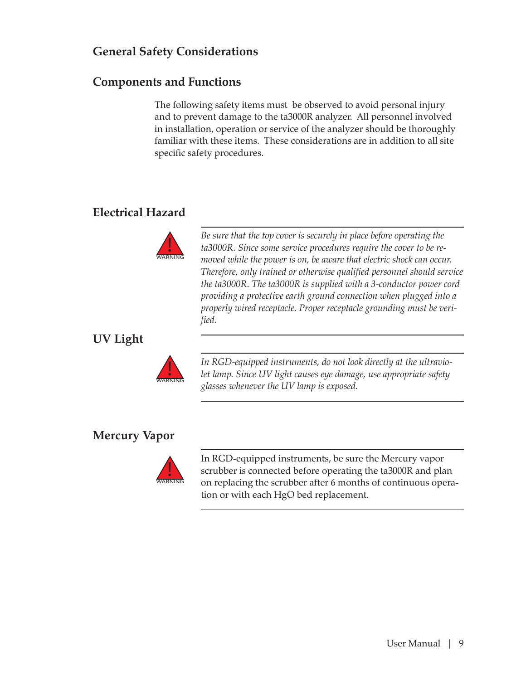### **General Safety Considerations**

### **Components and Functions**

The following safety items must be observed to avoid personal injury and to prevent damage to the ta3000R analyzer. All personnel involved in installation, operation or service of the analyzer should be thoroughly familiar with these items. These considerations are in addition to all site specific safety procedures.

### **Electrical Hazard**



*Be sure that the top cover is securely in place before operating the ta3000R. Since some service procedures require the cover to be removed while the power is on, be aware that electric shock can occur. Therefore, only trained or otherwise qualified personnel should service the ta3000R. The ta3000R is supplied with a 3-conductor power cord providing a protective earth ground connection when plugged into a properly wired receptacle. Proper receptacle grounding must be verified.*

### **UV Light**



*In RGD-equipped instruments, do not look directly at the ultraviolet lamp. Since UV light causes eye damage, use appropriate safety glasses whenever the UV lamp is exposed.*

### **Mercury Vapor**



In RGD-equipped instruments, be sure the Mercury vapor scrubber is connected before operating the ta3000R and plan on replacing the scrubber after 6 months of continuous operation or with each HgO bed replacement.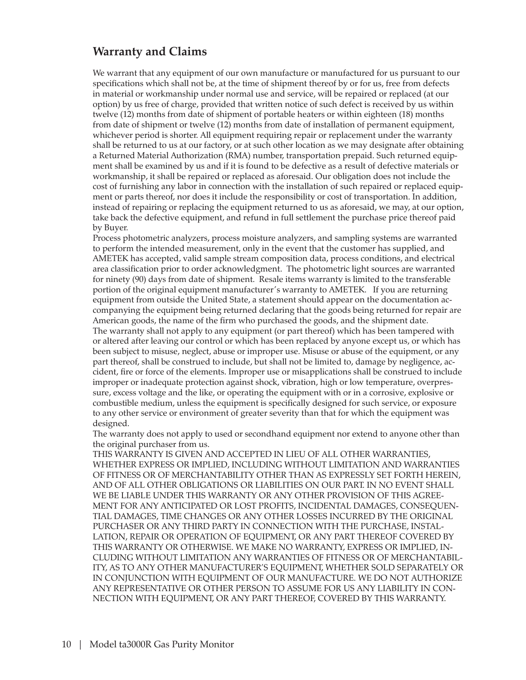### **Warranty and Claims**

We warrant that any equipment of our own manufacture or manufactured for us pursuant to our specifications which shall not be, at the time of shipment thereof by or for us, free from defects in material or workmanship under normal use and service, will be repaired or replaced (at our option) by us free of charge, provided that written notice of such defect is received by us within twelve (12) months from date of shipment of portable heaters or within eighteen (18) months from date of shipment or twelve (12) months from date of installation of permanent equipment, whichever period is shorter. All equipment requiring repair or replacement under the warranty shall be returned to us at our factory, or at such other location as we may designate after obtaining a Returned Material Authorization (RMA) number, transportation prepaid. Such returned equipment shall be examined by us and if it is found to be defective as a result of defective materials or workmanship, it shall be repaired or replaced as aforesaid. Our obligation does not include the cost of furnishing any labor in connection with the installation of such repaired or replaced equipment or parts thereof, nor does it include the responsibility or cost of transportation. In addition, instead of repairing or replacing the equipment returned to us as aforesaid, we may, at our option, take back the defective equipment, and refund in full settlement the purchase price thereof paid by Buyer.

Process photometric analyzers, process moisture analyzers, and sampling systems are warranted to perform the intended measurement, only in the event that the customer has supplied, and AMETEK has accepted, valid sample stream composition data, process conditions, and electrical area classification prior to order acknowledgment. The photometric light sources are warranted for ninety (90) days from date of shipment. Resale items warranty is limited to the transferable portion of the original equipment manufacturer's warranty to AMETEK. If you are returning equipment from outside the United State, a statement should appear on the documentation accompanying the equipment being returned declaring that the goods being returned for repair are American goods, the name of the firm who purchased the goods, and the shipment date. The warranty shall not apply to any equipment (or part thereof) which has been tampered with or altered after leaving our control or which has been replaced by anyone except us, or which has been subject to misuse, neglect, abuse or improper use. Misuse or abuse of the equipment, or any part thereof, shall be construed to include, but shall not be limited to, damage by negligence, accident, fire or force of the elements. Improper use or misapplications shall be construed to include improper or inadequate protection against shock, vibration, high or low temperature, overpressure, excess voltage and the like, or operating the equipment with or in a corrosive, explosive or combustible medium, unless the equipment is specifically designed for such service, or exposure to any other service or environment of greater severity than that for which the equipment was designed.

The warranty does not apply to used or secondhand equipment nor extend to anyone other than the original purchaser from us.

THIS WARRANTY IS GIVEN AND ACCEPTED IN LIEU OF ALL OTHER WARRANTIES, WHETHER EXPRESS OR IMPLIED, INCLUDING WITHOUT LIMITATION AND WARRANTIES OF FITNESS OR OF MERCHANTABILITY OTHER THAN AS EXPRESSLY SET FORTH HEREIN, AND OF ALL OTHER OBLIGATIONS OR LIABILITIES ON OUR PART. IN NO EVENT SHALL WE BE LIABLE UNDER THIS WARRANTY OR ANY OTHER PROVISION OF THIS AGREE-MENT FOR ANY ANTICIPATED OR LOST PROFITS, INCIDENTAL DAMAGES, CONSEQUEN-TIAL DAMAGES, TIME CHANGES OR ANY OTHER LOSSES INCURRED BY THE ORIGINAL PURCHASER OR ANY THIRD PARTY IN CONNECTION WITH THE PURCHASE, INSTAL-LATION, REPAIR OR OPERATION OF EQUIPMENT, OR ANY PART THEREOF COVERED BY THIS WARRANTY OR OTHERWISE. WE MAKE NO WARRANTY, EXPRESS OR IMPLIED, IN-CLUDING WITHOUT LIMITATION ANY WARRANTIES OF FITNESS OR OF MERCHANTABIL-ITY, AS TO ANY OTHER MANUFACTURER'S EQUIPMENT, WHETHER SOLD SEPARATELY OR IN CONJUNCTION WITH EQUIPMENT OF OUR MANUFACTURE. WE DO NOT AUTHORIZE ANY REPRESENTATIVE OR OTHER PERSON TO ASSUME FOR US ANY LIABILITY IN CON-NECTION WITH EQUIPMENT, OR ANY PART THEREOF, COVERED BY THIS WARRANTY.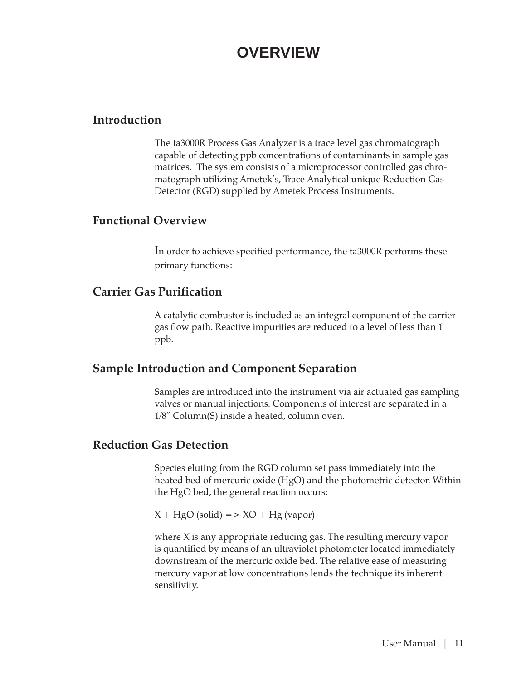## **OVERVIEW**

### **Introduction**

The ta3000R Process Gas Analyzer is a trace level gas chromatograph capable of detecting ppb concentrations of contaminants in sample gas matrices. The system consists of a microprocessor controlled gas chromatograph utilizing Ametek's, Trace Analytical unique Reduction Gas Detector (RGD) supplied by Ametek Process Instruments.

### **Functional Overview**

In order to achieve specified performance, the ta3000R performs these primary functions:

### **Carrier Gas Purification**

A catalytic combustor is included as an integral component of the carrier gas flow path. Reactive impurities are reduced to a level of less than 1 ppb.

### **Sample Introduction and Component Separation**

Samples are introduced into the instrument via air actuated gas sampling valves or manual injections. Components of interest are separated in a 1/8" Column(S) inside a heated, column oven.

### **Reduction Gas Detection**

Species eluting from the RGD column set pass immediately into the heated bed of mercuric oxide (HgO) and the photometric detector. Within the HgO bed, the general reaction occurs:

 $X + HgO$  (solid) = > XO + Hg (vapor)

where X is any appropriate reducing gas. The resulting mercury vapor is quantified by means of an ultraviolet photometer located immediately downstream of the mercuric oxide bed. The relative ease of measuring mercury vapor at low concentrations lends the technique its inherent sensitivity.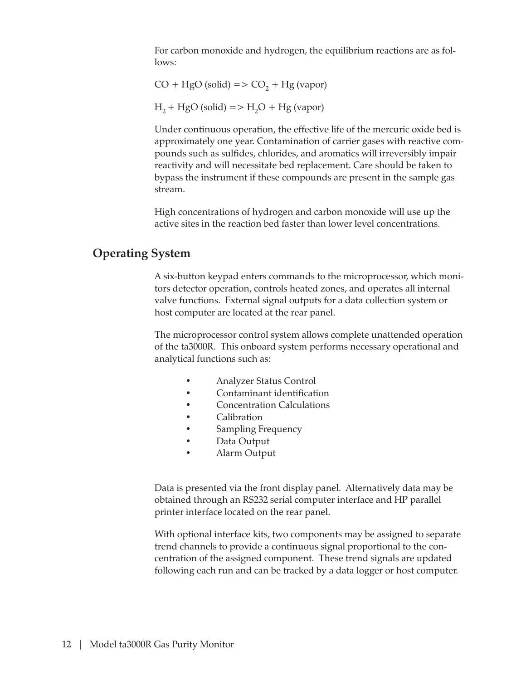For carbon monoxide and hydrogen, the equilibrium reactions are as follows:

 $CO + HgO$  (solid) =  $> CO<sub>2</sub> + Hg$  (vapor)

 $H_2$  + HgO (solid) => H<sub>2</sub>O + Hg (vapor)

Under continuous operation, the effective life of the mercuric oxide bed is approximately one year. Contamination of carrier gases with reactive compounds such as sulfides, chlorides, and aromatics will irreversibly impair reactivity and will necessitate bed replacement. Care should be taken to bypass the instrument if these compounds are present in the sample gas stream.

High concentrations of hydrogen and carbon monoxide will use up the active sites in the reaction bed faster than lower level concentrations.

### **Operating System**

A six-button keypad enters commands to the microprocessor, which monitors detector operation, controls heated zones, and operates all internal valve functions. External signal outputs for a data collection system or host computer are located at the rear panel.

The microprocessor control system allows complete unattended operation of the ta3000R. This onboard system performs necessary operational and analytical functions such as:

- Analyzer Status Control
- Contaminant identification
- Concentration Calculations
- Calibration
- Sampling Frequency
- Data Output
- Alarm Output

Data is presented via the front display panel. Alternatively data may be obtained through an RS232 serial computer interface and HP parallel printer interface located on the rear panel.

With optional interface kits, two components may be assigned to separate trend channels to provide a continuous signal proportional to the concentration of the assigned component. These trend signals are updated following each run and can be tracked by a data logger or host computer.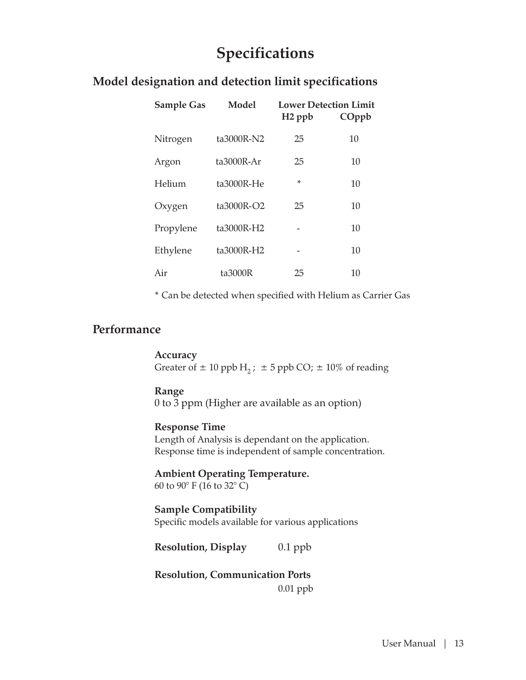## **Specifications**

| <b>Sample Gas</b> | Model        | <b>Lower Detection Limit</b><br>H <sub>2</sub> ppb | COppb |
|-------------------|--------------|----------------------------------------------------|-------|
| Nitrogen          | ta3000R-N2   | 25                                                 | 10    |
| Argon             | $ta3000R-Ar$ | 25                                                 | 10    |
| Helium            | ta3000R-He   | *                                                  | 10    |
| Oxygen            | ta3000R-O2   | 25                                                 | 10    |
| Propylene         | ta3000R-H2   |                                                    | 10    |
| Ethylene          | ta3000R-H2   |                                                    | 10    |
| Air               | ta3000R      | 25                                                 | 10    |

### **Model designation and detection limit specifications**

\* Can be detected when specified with Helium as Carrier Gas

#### **Performance**

**Accuracy**  Greater of  $\pm$  10 ppb H<sub>2</sub>;  $\pm$  5 ppb CO;  $\pm$  10% of reading

#### **Range**

0 to 3 ppm (Higher are available as an option)

#### **Response Time**

Length of Analysis is dependant on the application. Response time is independent of sample concentration.

**Ambient Operating Temperature.** 60 to 90° F (16 to 32° C)

**Sample Compatibility**  Specific models available for various applications

**Resolution, Display** 0.1 ppb

**Resolution, Communication Ports** 0.01 ppb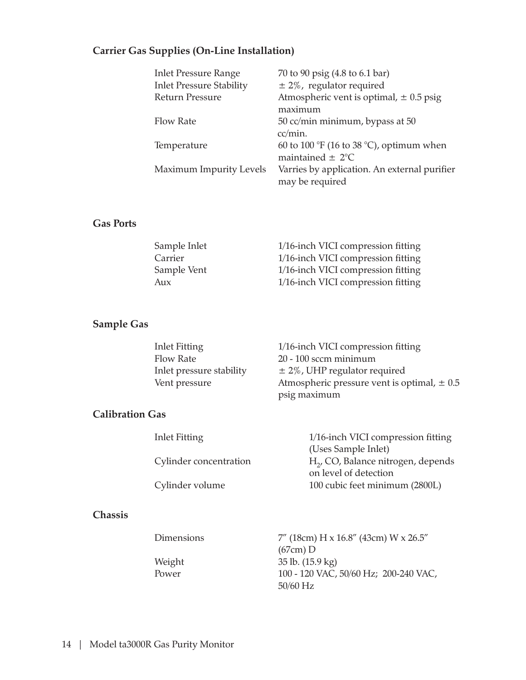### **Carrier Gas Supplies (On-Line Installation)**

| <b>Inlet Pressure Range</b>     | 70 to 90 psig (4.8 to 6.1 bar)                                  |
|---------------------------------|-----------------------------------------------------------------|
| <b>Inlet Pressure Stability</b> | $\pm$ 2%, regulator required                                    |
| Return Pressure                 | Atmospheric vent is optimal, $\pm$ 0.5 psig<br>maximum          |
|                                 |                                                                 |
| <b>Flow Rate</b>                | 50 cc/min minimum, bypass at 50                                 |
|                                 | cc/min.                                                         |
| Temperature                     | 60 to 100 °F (16 to 38 °C), optimum when                        |
|                                 | maintained $\pm$ 2°C                                            |
| <b>Maximum Impurity Levels</b>  | Varries by application. An external purifier<br>may be required |
|                                 |                                                                 |

#### **Gas Ports**

| Sample Inlet | 1/16-inch VICI compression fitting |
|--------------|------------------------------------|
| Carrier      | 1/16-inch VICI compression fitting |
| Sample Vent  | 1/16-inch VICI compression fitting |
| Aux          | 1/16-inch VICI compression fitting |

### **Sample Gas**

| Inlet Fitting            | 1/16-inch VICI compression fitting              |
|--------------------------|-------------------------------------------------|
| Flow Rate                | $20 - 100$ sccm minimum                         |
| Inlet pressure stability | $\pm$ 2%, UHP regulator required                |
| Vent pressure            | Atmospheric pressure vent is optimal, $\pm$ 0.5 |
|                          | psig maximum                                    |

#### **Calibration Gas**

| Inlet Fitting          | 1/16-inch VICI compression fitting             |
|------------------------|------------------------------------------------|
|                        | (Uses Sample Inlet)                            |
| Cylinder concentration | H <sub>2</sub> , CO, Balance nitrogen, depends |
|                        | on level of detection                          |
| Cylinder volume        | 100 cubic feet minimum (2800L)                 |
|                        |                                                |

#### **Chassis**

| Dimensions | $7''$ (18cm) H x 16.8" (43cm) W x 26.5" |
|------------|-----------------------------------------|
|            | $(67cm)$ D                              |
| Weight     | $35$ lb. $(15.9 \text{ kg})$            |
| Power      | 100 - 120 VAC, 50/60 Hz; 200-240 VAC,   |
|            | $50/60$ Hz                              |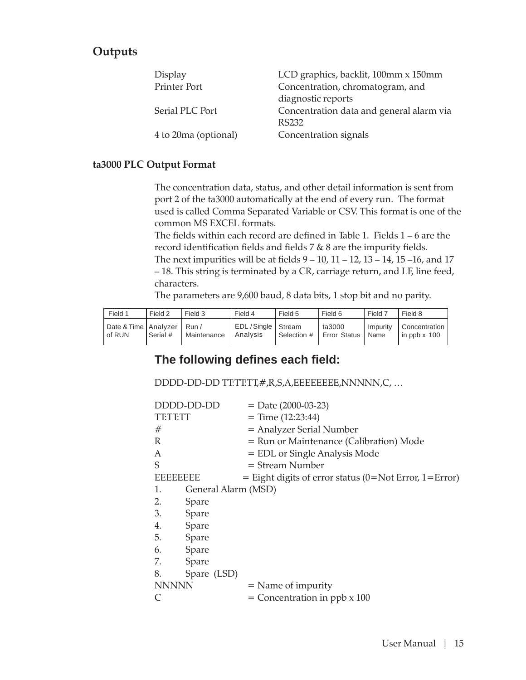### **Outputs**

| Display              | LCD graphics, backlit, 100mm x 150mm     |
|----------------------|------------------------------------------|
| <b>Printer Port</b>  | Concentration, chromatogram, and         |
|                      | diagnostic reports                       |
| Serial PLC Port      | Concentration data and general alarm via |
|                      | RS232                                    |
| 4 to 20ma (optional) | Concentration signals                    |

#### **ta3000 PLC Output Format**

The concentration data, status, and other detail information is sent from port 2 of the ta3000 automatically at the end of every run. The format used is called Comma Separated Variable or CSV. This format is one of the common MS EXCEL formats.

The fields within each record are defined in Table 1. Fields 1 – 6 are the record identification fields and fields 7 & 8 are the impurity fields. The next impurities will be at fields  $9 - 10$ ,  $11 - 12$ ,  $13 - 14$ ,  $15 - 16$ , and  $17$ – 18. This string is terminated by a CR, carriage return, and LF, line feed, characters.

The parameters are 9,600 baud, 8 data bits, 1 stop bit and no parity.

| Field 1                                    | Field 2  | Field 3     | Field 4                                  | Field 5     | Field 6                       | Field 7  | Field 8                         |
|--------------------------------------------|----------|-------------|------------------------------------------|-------------|-------------------------------|----------|---------------------------------|
| l Date & Time   Analvzer   Run /<br>of RUN | Serial # | Maintenance | EDL / Single   Stream<br><b>Analysis</b> | Selection # | ta3000<br>Error Status   Name | Impurity | Concentration<br>in ppb $x$ 100 |

### **The following defi nes each fi eld:**

DDDD-DD-DD TT:TT:TT,#,R,S,A,EEEEEEEE,NNNNN,C, …

|                 | DDDD-DD-DD          | $=$ Date (2000-03-23)                                   |
|-----------------|---------------------|---------------------------------------------------------|
| TETETT          |                     | $=$ Time $(12:23:44)$                                   |
| #               |                     | = Analyzer Serial Number                                |
| R               |                     | = Run or Maintenance (Calibration) Mode                 |
| A               |                     | = EDL or Single Analysis Mode                           |
| S               |                     | $=$ Stream Number                                       |
| <b>EBEBEEBE</b> |                     | $=$ Eight digits of error status (0=Not Error, 1=Error) |
| 1.              | General Alarm (MSD) |                                                         |
| 2.              | Spare               |                                                         |
| 3.              | Spare               |                                                         |
| 4.              | Spare               |                                                         |
| 5.              | Spare               |                                                         |
| 6.              | Spare               |                                                         |
| 7.              | Spare               |                                                         |
| 8.              | Spare (LSD)         |                                                         |
| <b>NNNNN</b>    |                     | $=$ Name of impurity                                    |
|                 |                     | $=$ Concentration in ppb $x$ 100                        |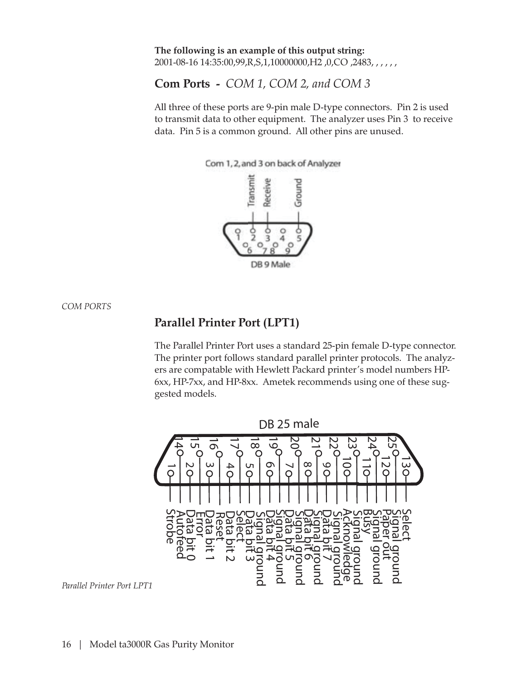**The following is an example of this output string:** 2001-08-16 14:35:00,99,R,S,1,10000000,H2 ,0,CO ,2483, , , , , ,

**Com Ports -** *COM 1, COM 2, and COM 3*

All three of these ports are 9-pin male D-type connectors. Pin 2 is used to transmit data to other equipment. The analyzer uses Pin 3 to receive data. Pin 5 is a common ground. All other pins are unused.



*COM PORTS*

### **Parallel Printer Port (LPT1)**

The Parallel Printer Port uses a standard 25-pin female D-type connector. The printer port follows standard parallel printer protocols. The analyzers are compatable with Hewlett Packard printer's model numbers HP-6xx, HP-7xx, and HP-8xx. Ametek recommends using one of these suggested models.



*Parallel Printer Port LPT1*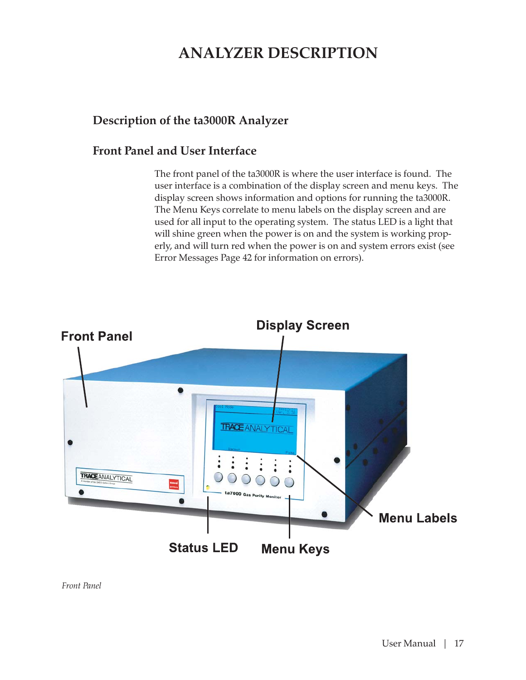## **ANALYZER DESCRIPTION**

### **Description of the ta3000R Analyzer**

### **Front Panel and User Interface**

The front panel of the ta3000R is where the user interface is found. The user interface is a combination of the display screen and menu keys. The display screen shows information and options for running the ta3000R. The Menu Keys correlate to menu labels on the display screen and are used for all input to the operating system. The status LED is a light that will shine green when the power is on and the system is working properly, and will turn red when the power is on and system errors exist (see Error Messages Page 42 for information on errors).



*Front Panel*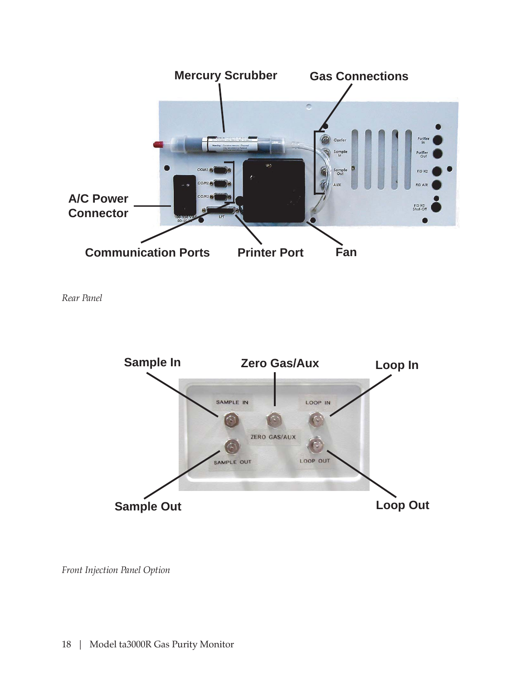

*Rear Panel*



*Front Injection Panel Option*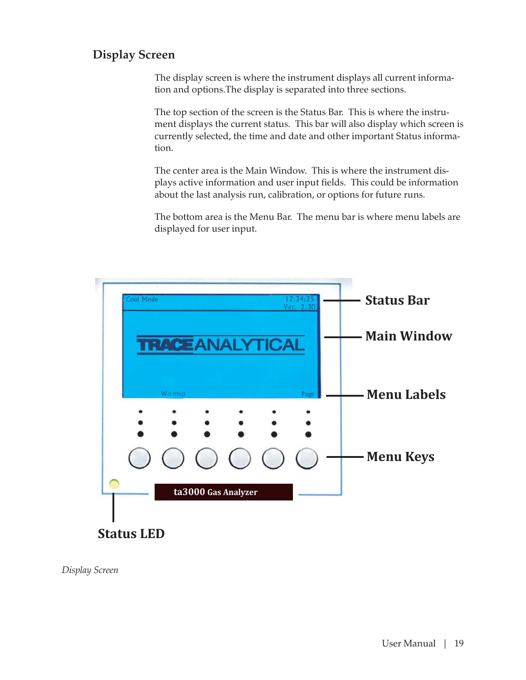### **Display Screen**

The display screen is where the instrument displays all current information and options.The display is separated into three sections.

The top section of the screen is the Status Bar. This is where the instrument displays the current status. This bar will also display which screen is currently selected, the time and date and other important Status information.

The center area is the Main Window. This is where the instrument displays active information and user input fields. This could be information about the last analysis run, calibration, or options for future runs.

The bottom area is the Menu Bar. The menu bar is where menu labels are displayed for user input.



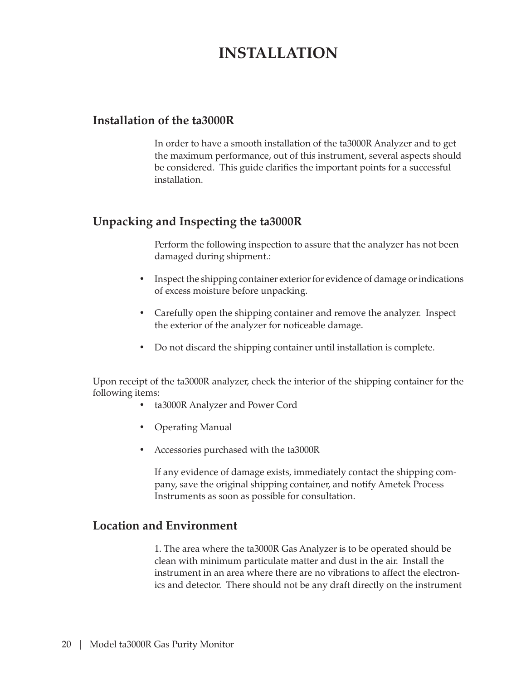## **INSTALLATION**

#### **Installation of the ta3000R**

In order to have a smooth installation of the ta3000R Analyzer and to get the maximum performance, out of this instrument, several aspects should be considered. This guide clarifies the important points for a successful installation.

### **Unpacking and Inspecting the ta3000R**

Perform the following inspection to assure that the analyzer has not been damaged during shipment.:

- Inspect the shipping container exterior for evidence of damage or indications of excess moisture before unpacking.
- Carefully open the shipping container and remove the analyzer. Inspect the exterior of the analyzer for noticeable damage.
- Do not discard the shipping container until installation is complete.

Upon receipt of the ta3000R analyzer, check the interior of the shipping container for the following items:

- ta3000R Analyzer and Power Cord
- Operating Manual
- Accessories purchased with the ta3000R

If any evidence of damage exists, immediately contact the shipping company, save the original shipping container, and notify Ametek Process Instruments as soon as possible for consultation.

### **Location and Environment**

1. The area where the ta3000R Gas Analyzer is to be operated should be clean with minimum particulate matter and dust in the air. Install the instrument in an area where there are no vibrations to affect the electronics and detector. There should not be any draft directly on the instrument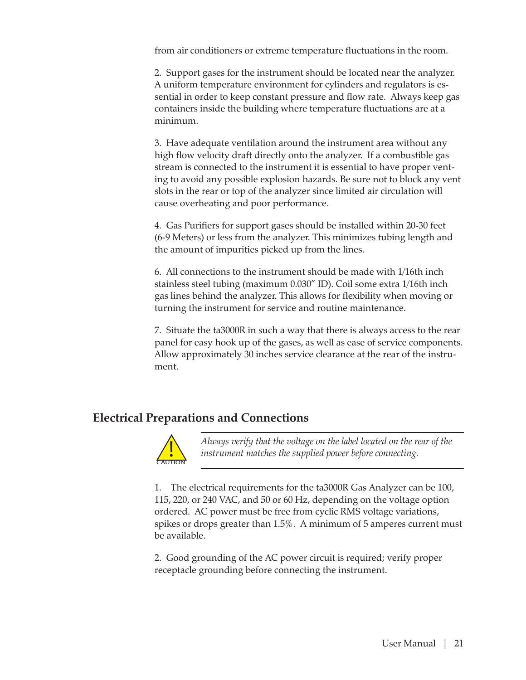from air conditioners or extreme temperature fluctuations in the room.

2. Support gases for the instrument should be located near the analyzer. A uniform temperature environment for cylinders and regulators is essential in order to keep constant pressure and flow rate. Always keep gas containers inside the building where temperature fluctuations are at a minimum.

3. Have adequate ventilation around the instrument area without any high flow velocity draft directly onto the analyzer. If a combustible gas stream is connected to the instrument it is essential to have proper venting to avoid any possible explosion hazards. Be sure not to block any vent slots in the rear or top of the analyzer since limited air circulation will cause overheating and poor performance.

4. Gas Purifiers for support gases should be installed within 20-30 feet (6-9 Meters) or less from the analyzer. This minimizes tubing length and the amount of impurities picked up from the lines.

6. All connections to the instrument should be made with 1/16th inch stainless steel tubing (maximum 0.030" ID). Coil some extra 1/16th inch gas lines behind the analyzer. This allows for flexibility when moving or turning the instrument for service and routine maintenance.

7. Situate the ta3000R in such a way that there is always access to the rear panel for easy hook up of the gases, as well as ease of service components. Allow approximately 30 inches service clearance at the rear of the instrument.

### **Electrical Preparations and Connections**



*Always verify that the voltage on the label located on the rear of the instrument matches the supplied power before connecting.*

1. The electrical requirements for the ta3000R Gas Analyzer can be 100, 115, 220, or 240 VAC, and 50 or 60 Hz, depending on the voltage option ordered. AC power must be free from cyclic RMS voltage variations, spikes or drops greater than 1.5%. A minimum of 5 amperes current must be available.

2. Good grounding of the AC power circuit is required; verify proper receptacle grounding before connecting the instrument.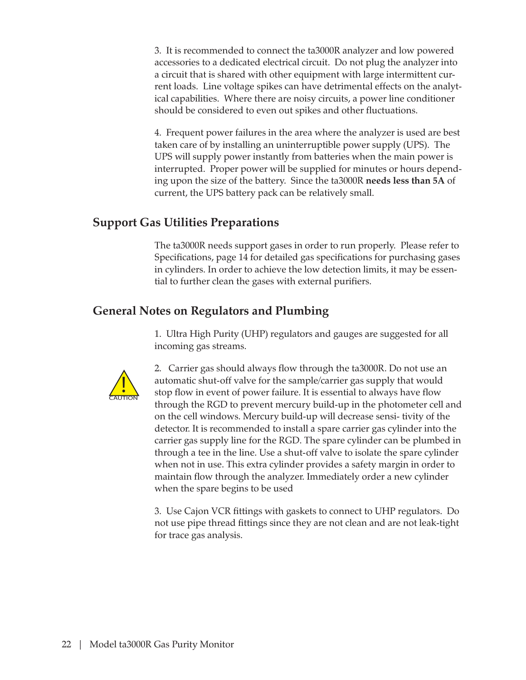3. It is recommended to connect the ta3000R analyzer and low powered accessories to a dedicated electrical circuit. Do not plug the analyzer into a circuit that is shared with other equipment with large intermittent current loads. Line voltage spikes can have detrimental effects on the analytical capabilities. Where there are noisy circuits, a power line conditioner should be considered to even out spikes and other fluctuations.

4. Frequent power failures in the area where the analyzer is used are best taken care of by installing an uninterruptible power supply (UPS). The UPS will supply power instantly from batteries when the main power is interrupted. Proper power will be supplied for minutes or hours depending upon the size of the battery. Since the ta3000R **needs less than 5A** of current, the UPS battery pack can be relatively small.

### **Support Gas Utilities Preparations**

The ta3000R needs support gases in order to run properly. Please refer to Specifications, page 14 for detailed gas specifications for purchasing gases in cylinders. In order to achieve the low detection limits, it may be essential to further clean the gases with external purifiers.

### **General Notes on Regulators and Plumbing**

1. Ultra High Purity (UHP) regulators and gauges are suggested for all incoming gas streams.



2. Carrier gas should always flow through the ta3000R. Do not use an automatic shut-off valve for the sample/carrier gas supply that would stop flow in event of power failure. It is essential to always have flow through the RGD to prevent mercury build-up in the photometer cell and on the cell windows. Mercury build-up will decrease sensi- tivity of the detector. It is recommended to install a spare carrier gas cylinder into the carrier gas supply line for the RGD. The spare cylinder can be plumbed in through a tee in the line. Use a shut-off valve to isolate the spare cylinder when not in use. This extra cylinder provides a safety margin in order to maintain flow through the analyzer. Immediately order a new cylinder when the spare begins to be used

3. Use Cajon VCR fittings with gaskets to connect to UHP regulators. Do not use pipe thread fittings since they are not clean and are not leak-tight for trace gas analysis.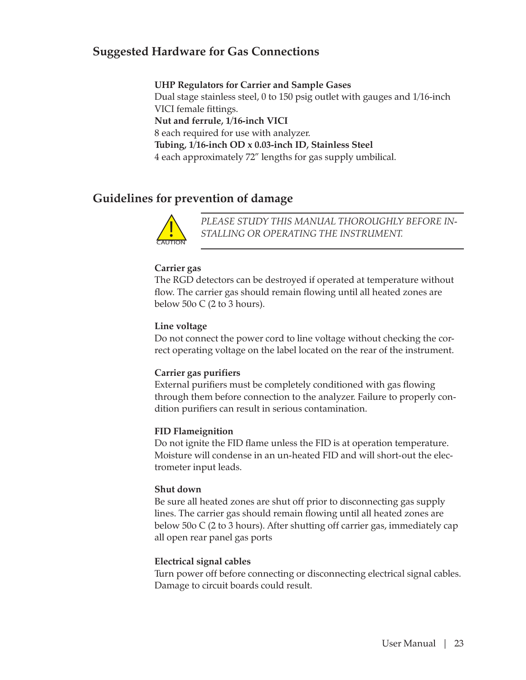### **Suggested Hardware for Gas Connections**

**UHP Regulators for Carrier and Sample Gases** Dual stage stainless steel, 0 to 150 psig outlet with gauges and 1/16-inch VICI female fittings. **Nut and ferrule, 1/16-inch VICI** 8 each required for use with analyzer. **Tubing, 1/16-inch OD x 0.03-inch ID, Stainless Steel** 4 each approximately 72" lengths for gas supply umbilical.

### **Guidelines for prevention of damage**



*PLEASE STUDY THIS MANUAL THOROUGHLY BEFORE IN-STALLING OR OPERATING THE INSTRUMENT.*

#### **Carrier gas**

The RGD detectors can be destroyed if operated at temperature without flow. The carrier gas should remain flowing until all heated zones are below 50 $\sigma$  C (2 to 3 hours).

#### **Line voltage**

Do not connect the power cord to line voltage without checking the correct operating voltage on the label located on the rear of the instrument.

#### **Carrier gas purifiers**

External purifiers must be completely conditioned with gas flowing through them before connection to the analyzer. Failure to properly condition purifiers can result in serious contamination.

#### **FID Flameignition**

Do not ignite the FID flame unless the FID is at operation temperature. Moisture will condense in an un-heated FID and will short-out the electrometer input leads.

#### **Shut down**

Be sure all heated zones are shut off prior to disconnecting gas supply lines. The carrier gas should remain flowing until all heated zones are below 50o C (2 to 3 hours). After shutting off carrier gas, immediately cap all open rear panel gas ports

#### **Electrical signal cables**

Turn power off before connecting or disconnecting electrical signal cables. Damage to circuit boards could result.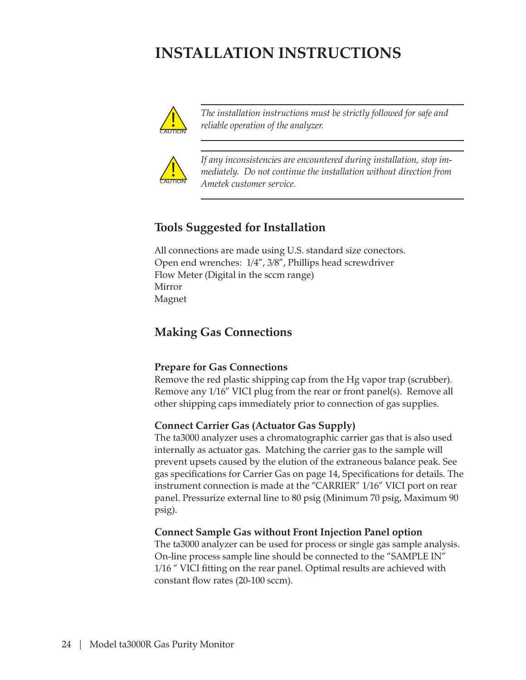## **INSTALLATION INSTRUCTIONS**



*The installation instructions must be strictly followed for safe and reliable operation of the analyzer.*



*If any inconsistencies are encountered during installation, stop immediately. Do not continue the installation without direction from Ametek customer service.*

### **Tools Suggested for Installation**

All connections are made using U.S. standard size conectors. Open end wrenches: 1/4", 3/8", Phillips head screwdriver Flow Meter (Digital in the sccm range) Mirror Magnet

### **Making Gas Connections**

#### **Prepare for Gas Connections**

Remove the red plastic shipping cap from the Hg vapor trap (scrubber). Remove any 1/16" VICI plug from the rear or front panel(s). Remove all other shipping caps immediately prior to connection of gas supplies.

#### **Connect Carrier Gas (Actuator Gas Supply)**

The ta3000 analyzer uses a chromatographic carrier gas that is also used internally as actuator gas. Matching the carrier gas to the sample will prevent upsets caused by the elution of the extraneous balance peak. See gas specifications for Carrier Gas on page 14, Specifications for details. The instrument connection is made at the "CARRIER" 1/16" VICI port on rear panel. Pressurize external line to 80 psig (Minimum 70 psig, Maximum 90 psig).

#### **Connect Sample Gas without Front Injection Panel option**

The ta3000 analyzer can be used for process or single gas sample analysis. On-line process sample line should be connected to the "SAMPLE IN" 1/16 " VICI fitting on the rear panel. Optimal results are achieved with constant flow rates (20-100 sccm).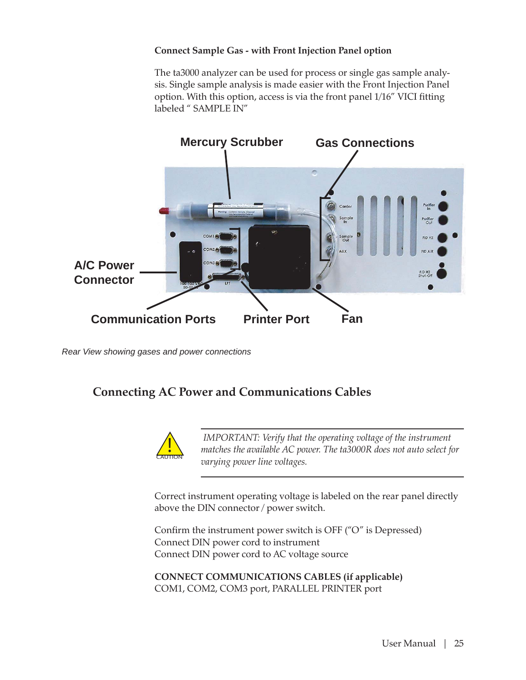#### **Connect Sample Gas - with Front Injection Panel option**

The ta3000 analyzer can be used for process or single gas sample analysis. Single sample analysis is made easier with the Front Injection Panel option. With this option, access is via the front panel 1/16" VICI fitting labeled " SAMPLE IN"



*Rear View showing gases and power connections*

### **Connecting AC Power and Communications Cables**



 *IMPORTANT: Verify that the operating voltage of the instrument matches the available AC power. The ta3000R does not auto select for varying power line voltages.*

Correct instrument operating voltage is labeled on the rear panel directly above the DIN connector / power switch.

Confirm the instrument power switch is OFF ("O" is Depressed) Connect DIN power cord to instrument Connect DIN power cord to AC voltage source

**CONNECT COMMUNICATIONS CABLES (if applicable)** COM1, COM2, COM3 port, PARALLEL PRINTER port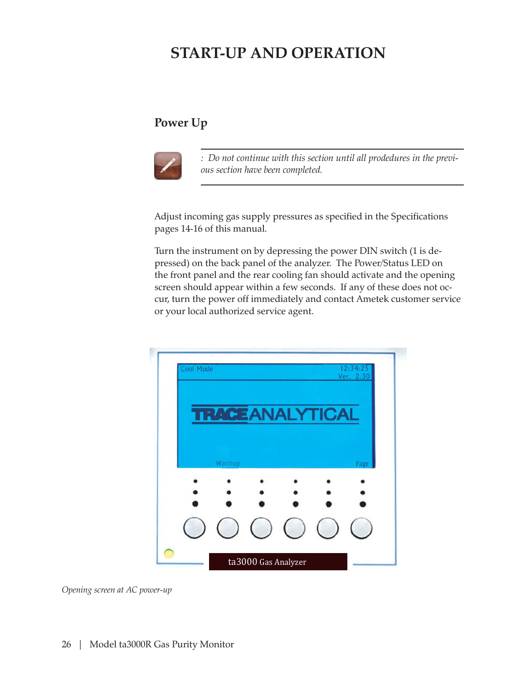## **START-UP AND OPERATION**

### **Power Up**



*: Do not continue with this section until all prodedures in the previous section have been completed.*

Adjust incoming gas supply pressures as specified in the Specifications pages 14-16 of this manual.

Turn the instrument on by depressing the power DIN switch (1 is depressed) on the back panel of the analyzer. The Power/Status LED on the front panel and the rear cooling fan should activate and the opening screen should appear within a few seconds. If any of these does not occur, turn the power off immediately and contact Ametek customer service or your local authorized service agent.



*Opening screen at AC power-up*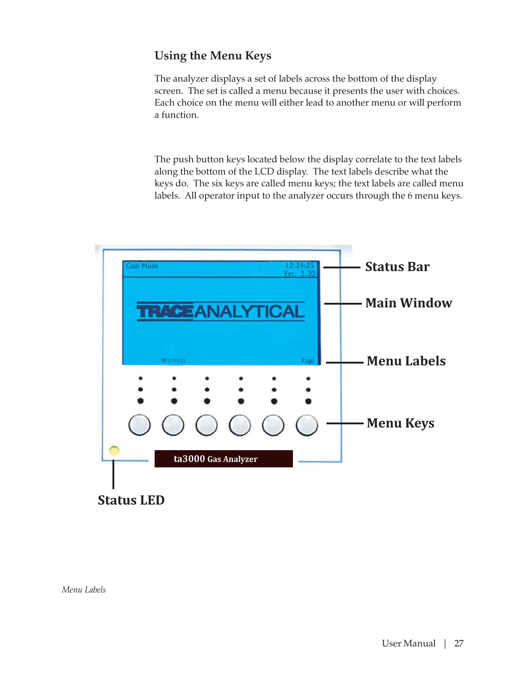### **Using the Menu Keys**

The analyzer displays a set of labels across the bottom of the display screen. The set is called a menu because it presents the user with choices. Each choice on the menu will either lead to another menu or will perform a function.

The push button keys located below the display correlate to the text labels along the bottom of the LCD display. The text labels describe what the keys do. The six keys are called menu keys; the text labels are called menu labels. All operator input to the analyzer occurs through the 6 menu keys.

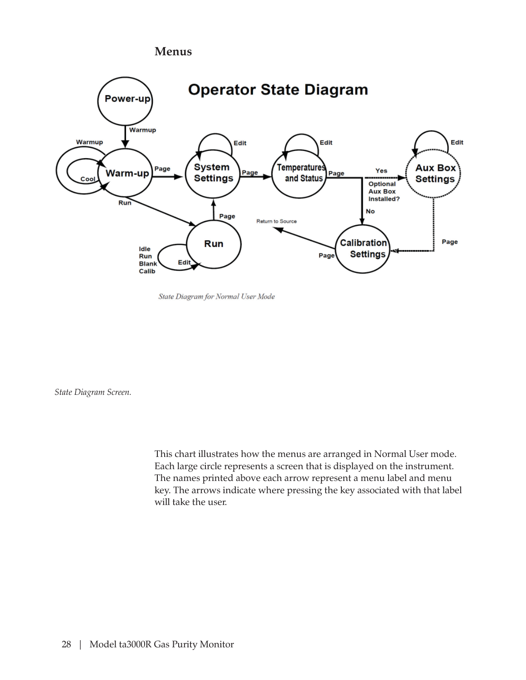#### **Menus**



State Diagram for Normal User Mode

*State Diagram Screen.*

This chart illustrates how the menus are arranged in Normal User mode. Each large circle represents a screen that is displayed on the instrument. The names printed above each arrow represent a menu label and menu key. The arrows indicate where pressing the key associated with that label will take the user.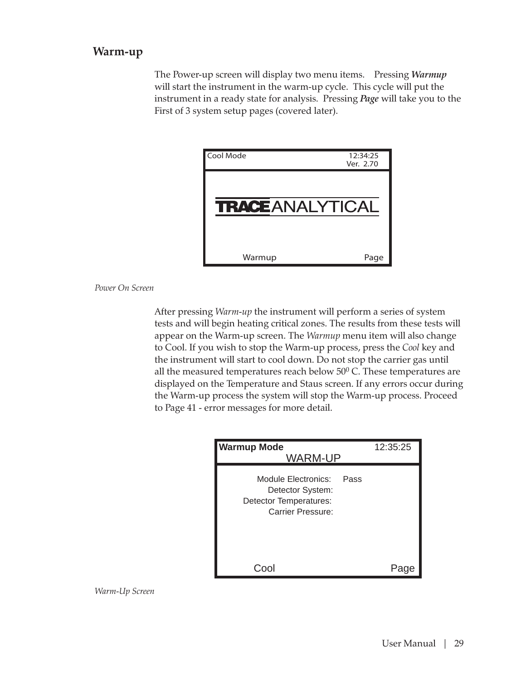### **Warm-up**

The Power-up screen will display two menu items. Pressing *Warmup* will start the instrument in the warm-up cycle. This cycle will put the instrument in a ready state for analysis. Pressing *Page* will take you to the First of 3 system setup pages (covered later).

| Cool Mode               | 12:34:25<br>Ver. 2.70 |
|-------------------------|-----------------------|
| <b>TRACE</b> ANALYTICAL |                       |
| Warmup                  | Page                  |

*Power On Screen*

After pressing *Warm-up* the instrument will perform a series of system tests and will begin heating critical zones. The results from these tests will appear on the Warm-up screen. The *Warmup* menu item will also change to Cool. If you wish to stop the Warm-up process, press the *Cool* key and the instrument will start to cool down. Do not stop the carrier gas until all the measured temperatures reach below  $50^{\circ}$  C. These temperatures are displayed on the Temperature and Staus screen. If any errors occur during the Warm-up process the system will stop the Warm-up process. Proceed to Page 41 - error messages for more detail.

| <b>Warmup Mode</b><br><b>WARM-UP</b>                                                   |      | 12:35:25 |
|----------------------------------------------------------------------------------------|------|----------|
| Module Electronics:<br>Detector System:<br>Detector Temperatures:<br>Carrier Pressure: | Pass |          |
|                                                                                        |      |          |

*Warm-Up Screen*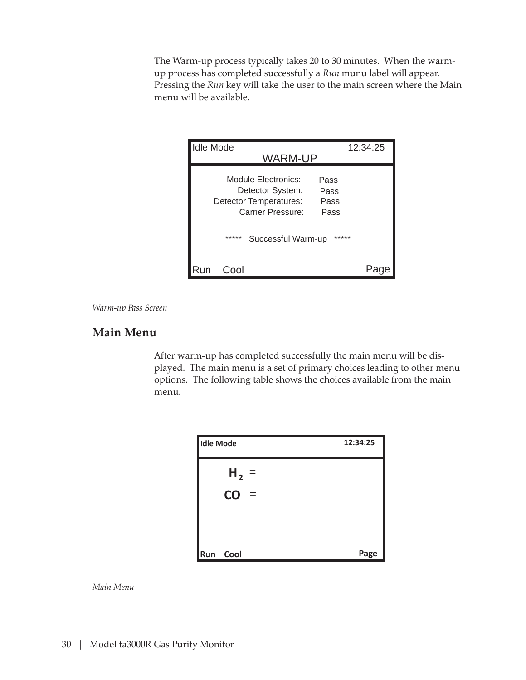The Warm-up process typically takes 20 to 30 minutes. When the warmup process has completed successfully a *Run* munu label will appear. Pressing the *Run* key will take the user to the main screen where the Main menu will be available.

| <b>Idle Mode</b><br>WARM-UP                                                                                            | 12:34:25 |
|------------------------------------------------------------------------------------------------------------------------|----------|
| Module Electronics:<br>Pass<br>Detector System:<br>Pass<br>Detector Temperatures:<br>Pass<br>Carrier Pressure:<br>Pass |          |
| *****<br>Successful Warm-up                                                                                            | *****    |
| Cool                                                                                                                   |          |

*Warm-up Pass Screen*

### **Main Menu**

After warm-up has completed successfully the main menu will be displayed. The main menu is a set of primary choices leading to other menu options. The following table shows the choices available from the main menu.

| <b>Idle Mode</b> |                | 12:34:25 |
|------------------|----------------|----------|
|                  | $H_2 =$        |          |
|                  | CO<br>$\equiv$ |          |
|                  |                |          |
| Run              | Cool           | Page     |

*Main Menu*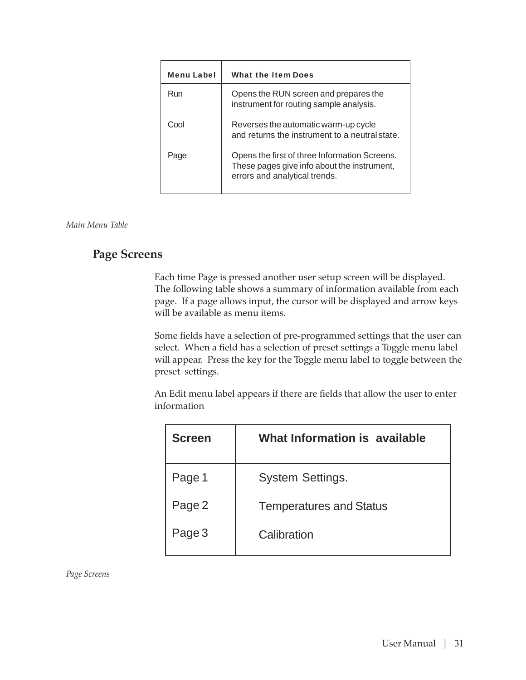| <b>Menu Label</b> | What the Item Does                                                                                                            |
|-------------------|-------------------------------------------------------------------------------------------------------------------------------|
| Run               | Opens the RUN screen and prepares the<br>instrument for routing sample analysis.                                              |
| Cool              | Reverses the automatic warm-up cycle<br>and returns the instrument to a neutral state.                                        |
| Page              | Opens the first of three Information Screens.<br>These pages give info about the instrument,<br>errors and analytical trends. |

*Main Menu Table*

### **Page Screens**

Each time Page is pressed another user setup screen will be displayed. The following table shows a summary of information available from each page. If a page allows input, the cursor will be displayed and arrow keys will be available as menu items.

Some fields have a selection of pre-programmed settings that the user can select. When a field has a selection of preset settings a Toggle menu label will appear. Press the key for the Toggle menu label to toggle between the preset settings.

An Edit menu label appears if there are fields that allow the user to enter information

| <b>Screen</b> | What Information is available  |
|---------------|--------------------------------|
| Page 1        | <b>System Settings.</b>        |
| Page 2        | <b>Temperatures and Status</b> |
| Page 3        | Calibration                    |

*Page Screens*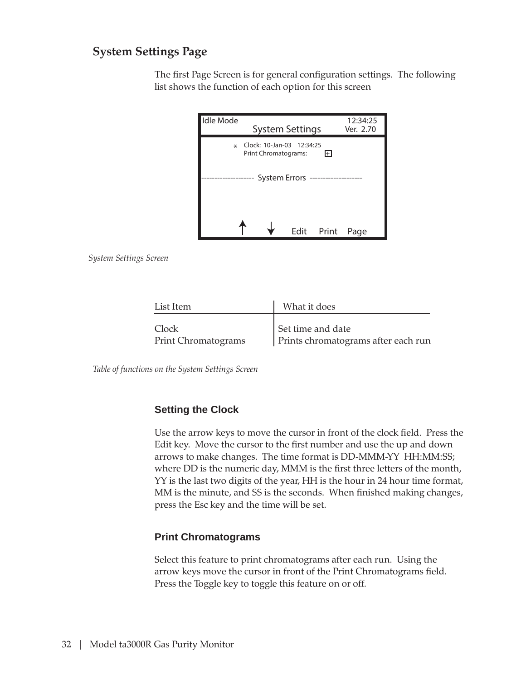### **System Settings Page**

The first Page Screen is for general configuration settings. The following list shows the function of each option for this screen

| Idle Mode | <b>System Settings</b>                            |      |       | 12:34:25<br>Ver. 2.70 |
|-----------|---------------------------------------------------|------|-------|-----------------------|
| ∗         | Clock: 10-Jan-03 12:34:25<br>Print Chromatograms: |      | H     |                       |
|           | System Errors                                     |      |       |                       |
|           |                                                   | Edit | Print | Page                  |

*System Settings Screen*

| List Item                  | What it does                        |  |
|----------------------------|-------------------------------------|--|
|                            |                                     |  |
| Clock                      | Set time and date                   |  |
| <b>Print Chromatograms</b> | Prints chromatograms after each run |  |

*Table of functions on the System Settings Screen*

#### **Setting the Clock**

Use the arrow keys to move the cursor in front of the clock field. Press the Edit key. Move the cursor to the first number and use the up and down arrows to make changes. The time format is DD-MMM-YY HH:MM:SS; where DD is the numeric day, MMM is the first three letters of the month, YY is the last two digits of the year, HH is the hour in 24 hour time format, MM is the minute, and SS is the seconds. When finished making changes, press the Esc key and the time will be set.

#### **Print Chromatograms**

Select this feature to print chromatograms after each run. Using the arrow keys move the cursor in front of the Print Chromatograms field. Press the Toggle key to toggle this feature on or off.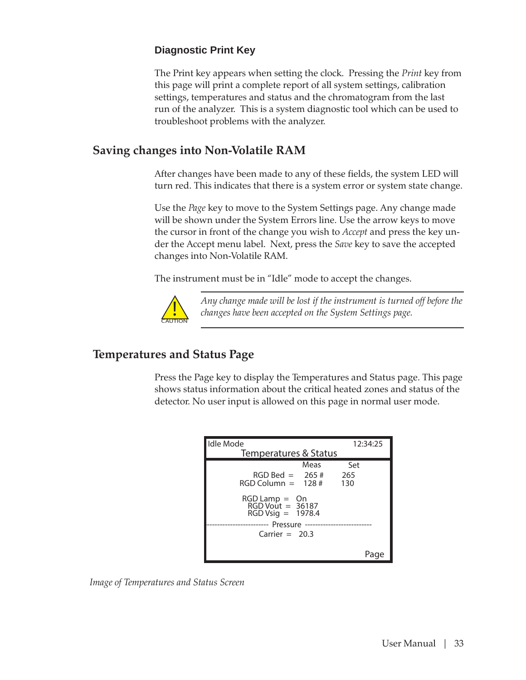#### **Diagnostic Print Key**

The Print key appears when setting the clock. Pressing the *Print* key from this page will print a complete report of all system settings, calibration settings, temperatures and status and the chromatogram from the last run of the analyzer. This is a system diagnostic tool which can be used to troubleshoot problems with the analyzer.

### **Saving changes into Non-Volatile RAM**

After changes have been made to any of these fields, the system LED will turn red. This indicates that there is a system error or system state change.

Use the *Page* key to move to the System Settings page. Any change made will be shown under the System Errors line. Use the arrow keys to move the cursor in front of the change you wish to *Accept* and press the key under the Accept menu label. Next, press the *Save* key to save the accepted changes into Non-Volatile RAM.

The instrument must be in "Idle" mode to accept the changes.



*Any change made will be lost if the instrument is turned off before the changes have been accepted on the System Settings page.*

### **Temperatures and Status Page**

Press the Page key to display the Temperatures and Status page. This page shows status information about the critical heated zones and status of the detector. No user input is allowed on this page in normal user mode.

| <b>Idle Mode</b>                                                   | 12:34:25 |
|--------------------------------------------------------------------|----------|
| Temperatures & Status                                              |          |
| Meas                                                               | Set      |
| $RGD$ Bed = 265 #                                                  | 265      |
| $RGD$ Column = 128 #                                               | 130      |
| $RGB$ Lamp = $\Omega$ n<br>RGD Vout = 36187<br>$RGDVisiq = 1978.4$ |          |
|                                                                    |          |
| Carrier $= 20.3$                                                   |          |
|                                                                    |          |
|                                                                    |          |

*Image of Temperatures and Status Screen*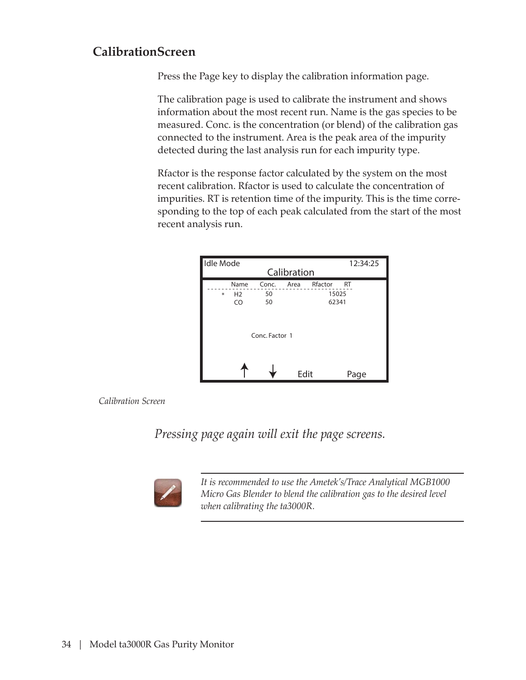### **CalibrationScreen**

Press the Page key to display the calibration information page.

The calibration page is used to calibrate the instrument and shows information about the most recent run. Name is the gas species to be measured. Conc. is the concentration (or blend) of the calibration gas connected to the instrument. Area is the peak area of the impurity detected during the last analysis run for each impurity type.

Rfactor is the response factor calculated by the system on the most recent calibration. Rfactor is used to calculate the concentration of impurities. RT is retention time of the impurity. This is the time corresponding to the top of each peak calculated from the start of the most recent analysis run.

| <b>Idle Mode</b>                       |                   | Calibration |                                        | 12:34:25 |
|----------------------------------------|-------------------|-------------|----------------------------------------|----------|
| Name<br>H <sub>2</sub><br>$\ast$<br>CO | Conc.<br>50<br>50 | Area        | Rfactor<br><b>RT</b><br>15025<br>62341 |          |
|                                        | Conc. Factor 1    |             |                                        |          |
|                                        |                   | Edit        | Page                                   |          |

*Calibration Screen*

*Pressing page again will exit the page screens.*



*It is recommended to use the Ametek's/Trace Analytical MGB1000 Micro Gas Blender to blend the calibration gas to the desired level when calibrating the ta3000R.*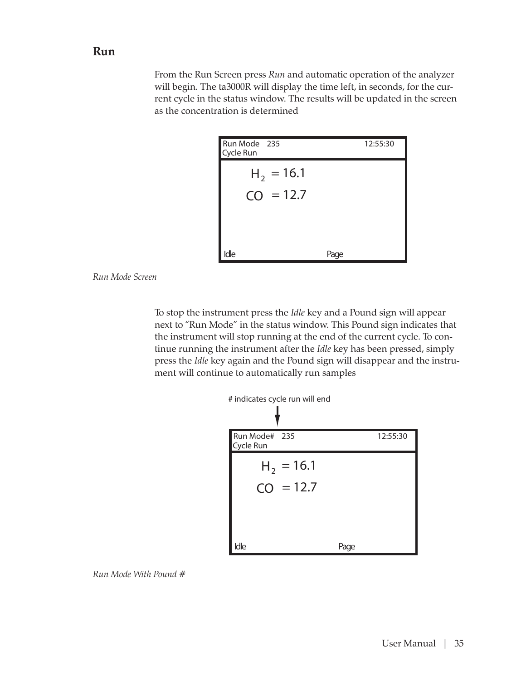#### **Run**

From the Run Screen press *Run* and automatic operation of the analyzer will begin. The ta3000R will display the time left, in seconds, for the current cycle in the status window. The results will be updated in the screen as the concentration is determined

| Run Mode 235<br>Cycle Run | 12:55:30 |
|---------------------------|----------|
| $H_2 = 16.1$              |          |
| $CO = 12.7$               |          |
|                           |          |
|                           |          |
| Idle                      | Page     |



To stop the instrument press the *Idle* key and a Pound sign will appear next to "Run Mode" in the status window. This Pound sign indicates that the instrument will stop running at the end of the current cycle. To continue running the instrument after the *Idle* key has been pressed, simply press the *Idle* key again and the Pound sign will disappear and the instrument will continue to automatically run samples



| Run Mode# 235<br>Cycle Run | 12:55:30 |
|----------------------------|----------|
| $H_2 = 16.1$               |          |
| $CO = 12.7$                |          |
|                            |          |
| Idle                       | Page     |

*Run Mode With Pound #*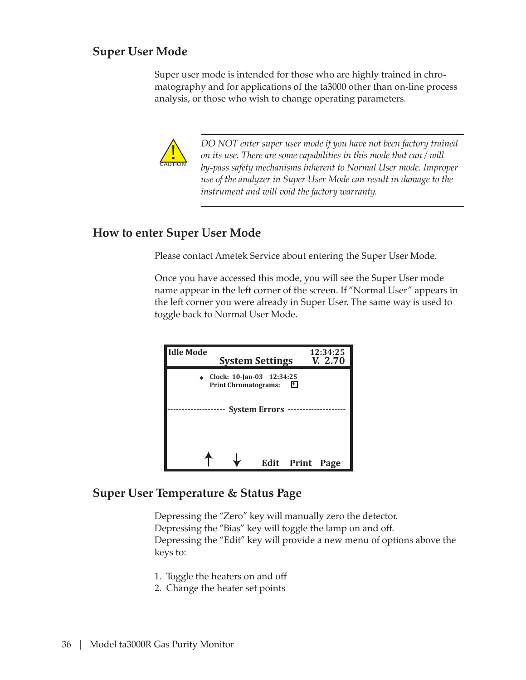### **Super User Mode**

Super user mode is intended for those who are highly trained in chromatography and for applications of the ta3000 other than on-line process analysis, or those who wish to change operating parameters.



*DO NOT enter super user mode if you have not been factory trained on its use. There are some capabilities in this mode that can / will by-pass safety mechanisms inherent to Normal User mode. Improper use of the analyzer in Super User Mode can result in damage to the instrument and will void the factory warranty.*

### **How to enter Super User Mode**

Please contact Ametek Service about entering the Super User Mode.

Once you have accessed this mode, you will see the Super User mode name appear in the left corner of the screen. If "Normal User" appears in the left corner you were already in Super User. The same way is used to toggle back to Normal User Mode.



### **Super User Temperature & Status Page**

Depressing the "Zero" key will manually zero the detector. Depressing the "Bias" key will toggle the lamp on and off. Depressing the "Edit" key will provide a new menu of options above the keys to:

- 1. Toggle the heaters on and off
- 2. Change the heater set points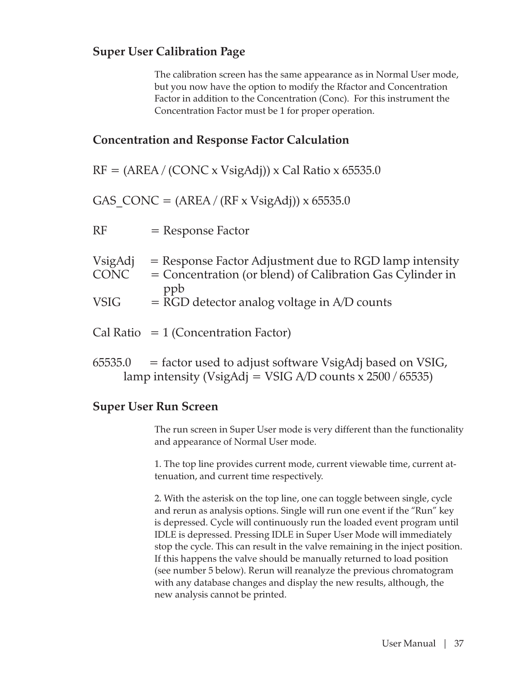### **Super User Calibration Page**

The calibration screen has the same appearance as in Normal User mode, but you now have the option to modify the Rfactor and Concentration Factor in addition to the Concentration (Conc). For this instrument the Concentration Factor must be 1 for proper operation.

### **Concentration and Response Factor Calculation**

 $RF = (AREA / (CONC x V sigAdj)) x Cal Ratio x 65535.0$ 

GAS  $CONC = (AREA / (RF x VsigAdj)) x 65535.0$ 

| RF<br>$=$ Response Factor |  |
|---------------------------|--|
|---------------------------|--|

| VsigAdj     | $=$ Response Factor Adjustment due to RGD lamp intensity  |
|-------------|-----------------------------------------------------------|
| <b>CONC</b> | = Concentration (or blend) of Calibration Gas Cylinder in |
|             | ppb                                                       |
| <b>VSIG</b> | $=$ RGD detector analog voltage in A/D counts             |
|             |                                                           |
|             |                                                           |

- $Cal Ratio = 1 (Concentration Factor)$
- $65535.0 =$  factor used to adjust software VsigAdj based on VSIG, lamp intensity (VsigAdj = VSIG A/D counts x  $2500 / 65535$ )

#### **Super User Run Screen**

The run screen in Super User mode is very different than the functionality and appearance of Normal User mode.

1. The top line provides current mode, current viewable time, current attenuation, and current time respectively.

2. With the asterisk on the top line, one can toggle between single, cycle and rerun as analysis options. Single will run one event if the "Run" key is depressed. Cycle will continuously run the loaded event program until IDLE is depressed. Pressing IDLE in Super User Mode will immediately stop the cycle. This can result in the valve remaining in the inject position. If this happens the valve should be manually returned to load position (see number 5 below). Rerun will reanalyze the previous chromatogram with any database changes and display the new results, although, the new analysis cannot be printed.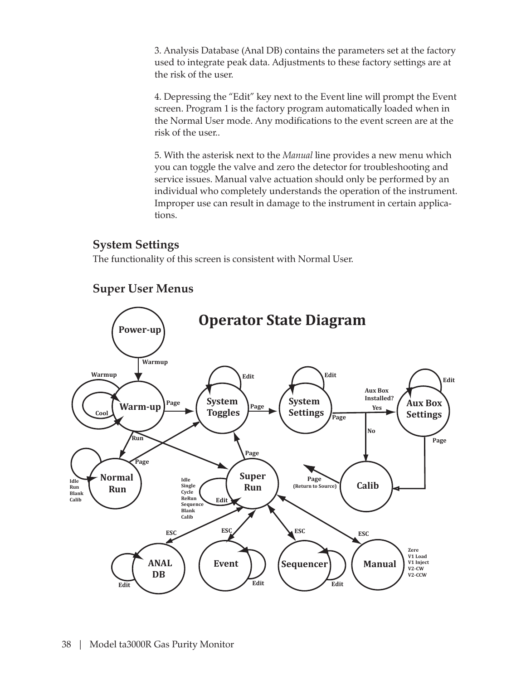3. Analysis Database (Anal DB) contains the parameters set at the factory used to integrate peak data. Adjustments to these factory settings are at the risk of the user.

4. Depressing the "Edit" key next to the Event line will prompt the Event screen. Program 1 is the factory program automatically loaded when in the Normal User mode. Any modifications to the event screen are at the risk of the user..

5. With the asterisk next to the *Manual* line provides a new menu which you can toggle the valve and zero the detector for troubleshooting and service issues. Manual valve actuation should only be performed by an individual who completely understands the operation of the instrument. Improper use can result in damage to the instrument in certain applications.

### **System Settings**

The functionality of this screen is consistent with Normal User.



### **Super User Menus**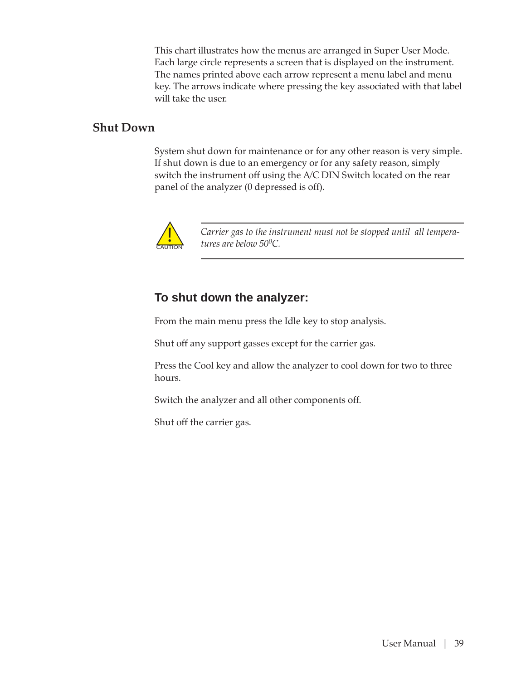This chart illustrates how the menus are arranged in Super User Mode. Each large circle represents a screen that is displayed on the instrument. The names printed above each arrow represent a menu label and menu key. The arrows indicate where pressing the key associated with that label will take the user.

#### **Shut Down**

System shut down for maintenance or for any other reason is very simple. If shut down is due to an emergency or for any safety reason, simply switch the instrument off using the A/C DIN Switch located on the rear panel of the analyzer (0 depressed is off).



*Carrier gas to the instrument must not be stopped until all temperatures are below 500C.*

### **To shut down the analyzer:**

From the main menu press the Idle key to stop analysis.

Shut off any support gasses except for the carrier gas.

Press the Cool key and allow the analyzer to cool down for two to three hours.

Switch the analyzer and all other components off.

Shut off the carrier gas.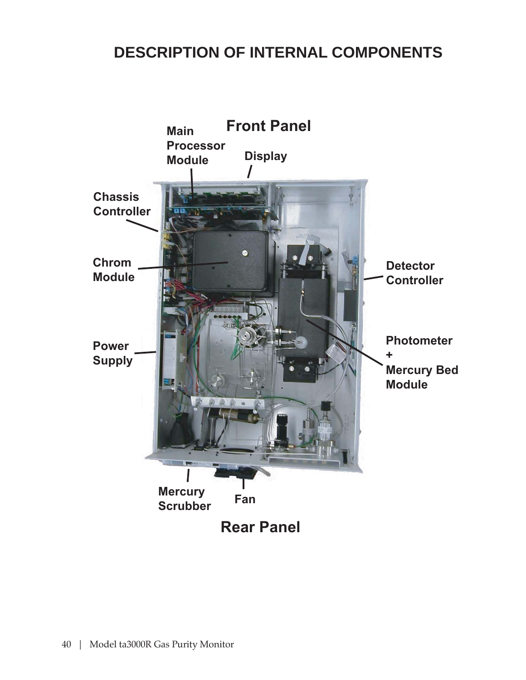## **DESCRIPTION OF INTERNAL COMPONENTS**

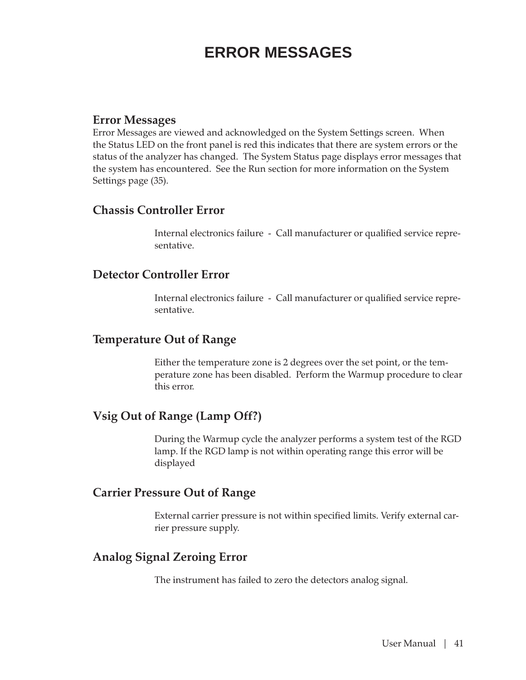## **ERROR MESSAGES**

### **Error Messages**

Error Messages are viewed and acknowledged on the System Settings screen. When the Status LED on the front panel is red this indicates that there are system errors or the status of the analyzer has changed. The System Status page displays error messages that the system has encountered. See the Run section for more information on the System Settings page (35).

### **Chassis Controller Error**

Internal electronics failure - Call manufacturer or qualified service representative.

### **Detector Controller Error**

Internal electronics failure - Call manufacturer or qualified service representative.

### **Temperature Out of Range**

Either the temperature zone is 2 degrees over the set point, or the temperature zone has been disabled. Perform the Warmup procedure to clear this error.

### **Vsig Out of Range (Lamp Off?)**

During the Warmup cycle the analyzer performs a system test of the RGD lamp. If the RGD lamp is not within operating range this error will be displayed

### **Carrier Pressure Out of Range**

External carrier pressure is not within specified limits. Verify external carrier pressure supply.

### **Analog Signal Zeroing Error**

The instrument has failed to zero the detectors analog signal.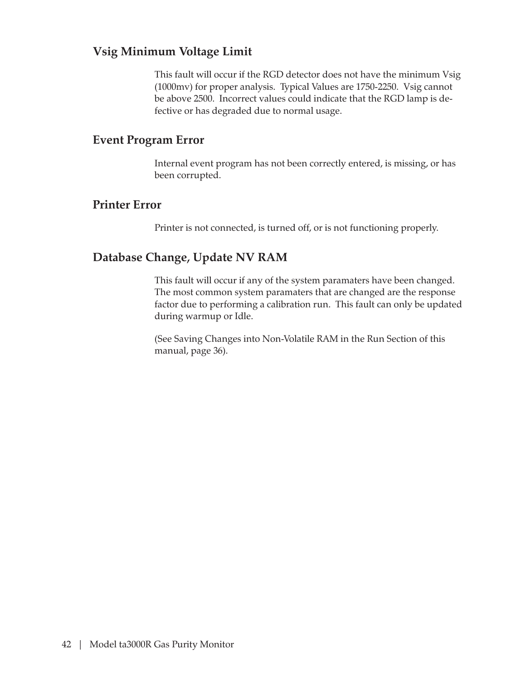### **Vsig Minimum Voltage Limit**

This fault will occur if the RGD detector does not have the minimum Vsig (1000mv) for proper analysis. Typical Values are 1750-2250. Vsig cannot be above 2500. Incorrect values could indicate that the RGD lamp is defective or has degraded due to normal usage.

### **Event Program Error**

Internal event program has not been correctly entered, is missing, or has been corrupted.

### **Printer Error**

Printer is not connected, is turned off, or is not functioning properly.

### **Database Change, Update NV RAM**

This fault will occur if any of the system paramaters have been changed. The most common system paramaters that are changed are the response factor due to performing a calibration run. This fault can only be updated during warmup or Idle.

(See Saving Changes into Non-Volatile RAM in the Run Section of this manual, page 36).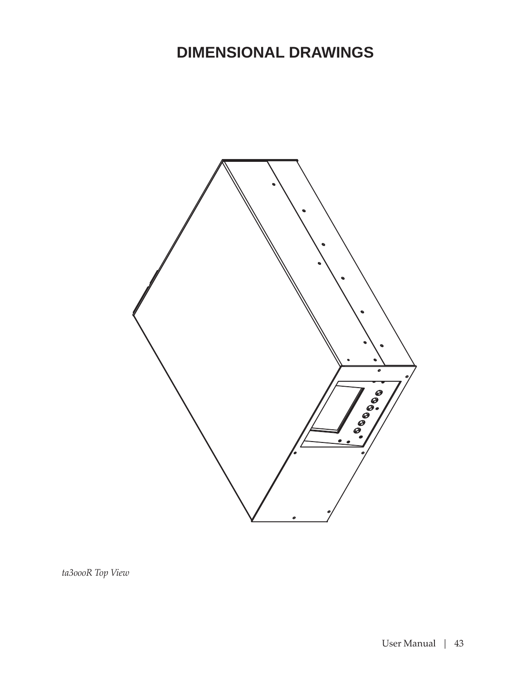## **DIMENSIONAL DRAWINGS**



*ta3oooR Top View*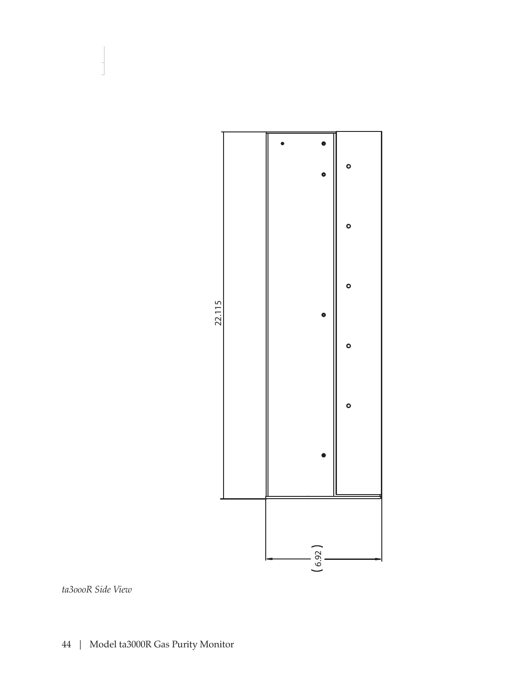

*ta3oooR Side View*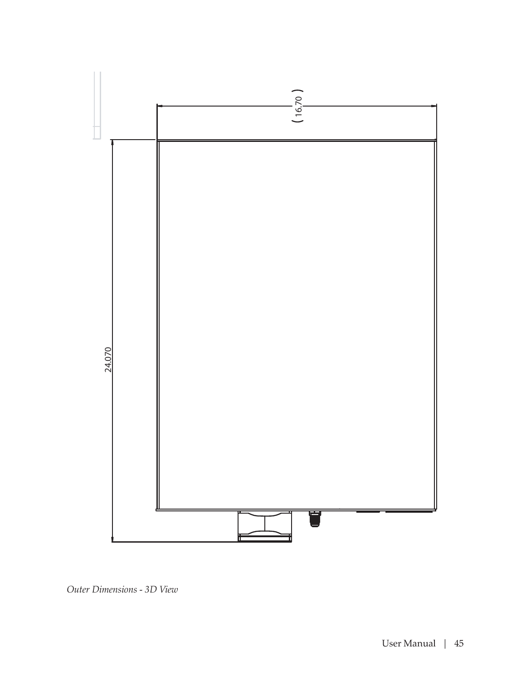

*Outer Dimensions - 3D View*